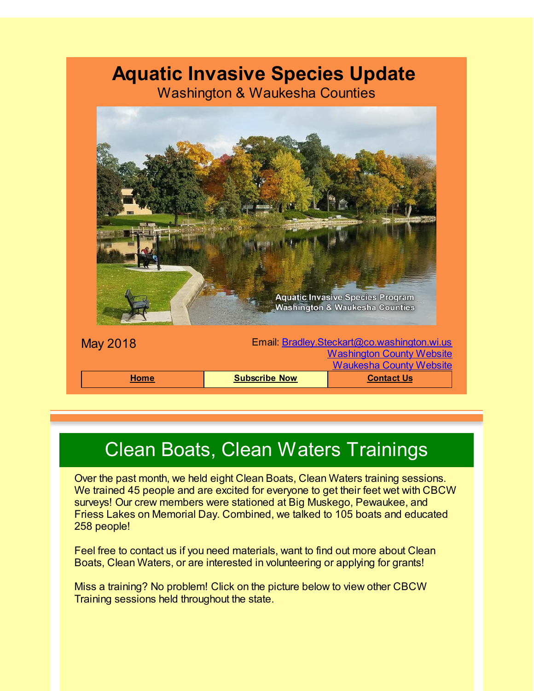#### **Aquatic Invasive Species Update**

Washington & Waukesha Counties



## Clean Boats, Clean Waters Trainings

Over the past month, we held eight Clean Boats, Clean Waters training sessions. We trained 45 people and are excited for everyone to get their feet wet with CBCW surveys! Our crew members were stationed at Big Muskego, Pewaukee, and Friess Lakes on Memorial Day. Combined, we talked to 105 boats and educated 258 people!

Feel free to contact us if you need materials, want to find out more about Clean Boats, Clean Waters, or are interested in volunteering or applying for grants!

Miss a training? No problem! Click on the picture below to view other CBCW Training sessions held throughout the state.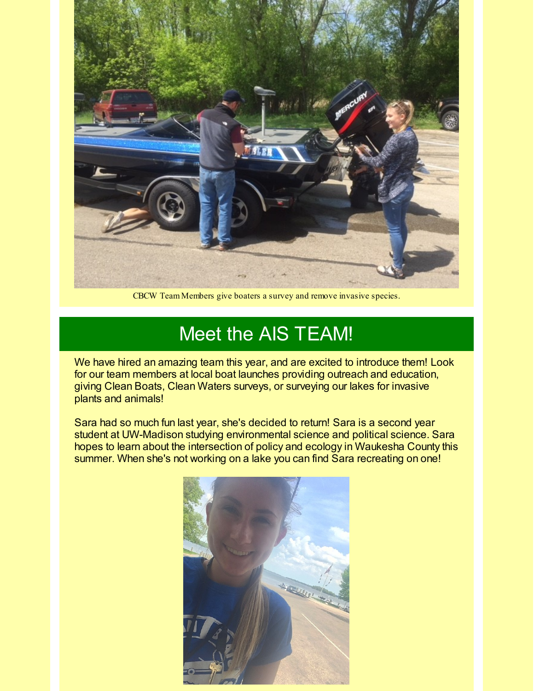

CBCW Team Members give boaters a survey and remove invasive species.

### Meet the AIS TEAM!

We have hired an amazing team this year, and are excited to introduce them! Look for our team members at local boat launches providing outreach and education, giving Clean Boats, Clean Waters surveys, or surveying our lakes for invasive plants and animals!

Sara had so much fun last year, she's decided to return! Sara is a second year student at UW-Madison studying environmental science and political science. Sara hopes to learn about the intersection of policy and ecology in Waukesha County this summer. When she's not working on a lake you can find Sara recreating on one!

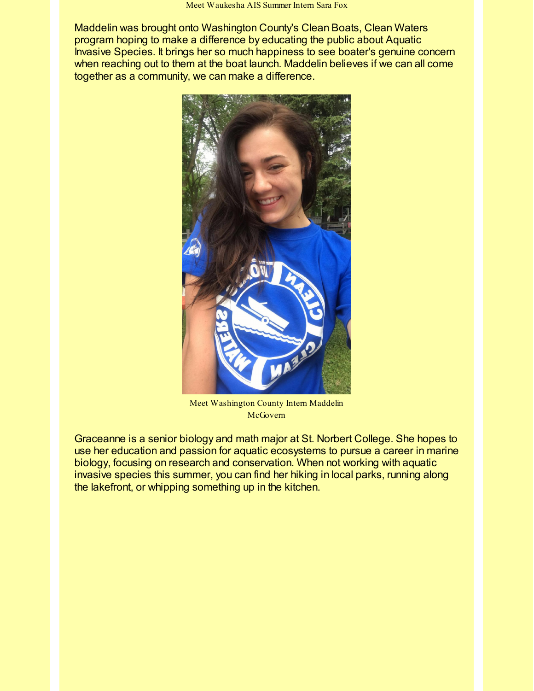Maddelin was brought onto Washington County's Clean Boats, Clean Waters program hoping to make a difference by educating the public about Aquatic Invasive Species. It brings her so much happiness to see boater's genuine concern when reaching out to them at the boat launch. Maddelin believes if we can all come together as a community, we can make a difference.



Meet Washington County Intern Maddelin McGovern

Graceanne is a senior biology and math major at St. Norbert College. She hopes to use her education and passion for aquatic ecosystems to pursue a career in marine biology, focusing on research and conservation. When not working with aquatic invasive species this summer, you can find her hiking in local parks, running along the lakefront, or whipping something up in the kitchen.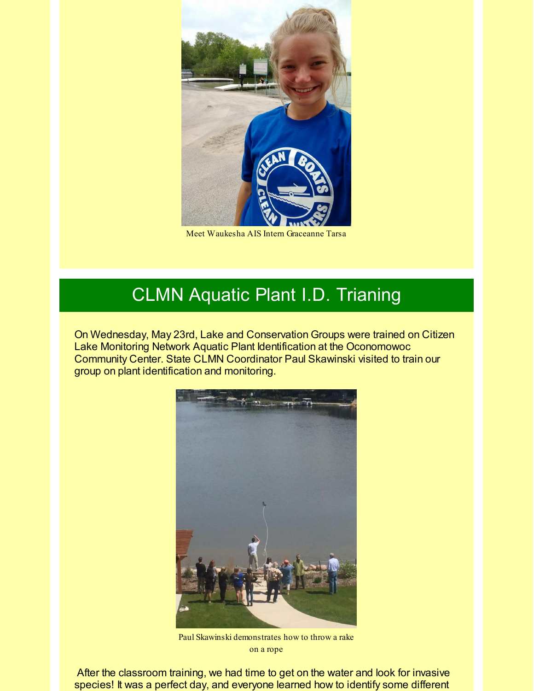

Meet Waukesha AIS Intern Graceanne Tarsa

#### CLMN Aquatic Plant I.D. Trianing

On Wednesday, May 23rd, Lake and Conservation Groups were trained on Citizen Lake Monitoring Network Aquatic Plant Identification at the Oconomowoc Community Center. State CLMN Coordinator Paul Skawinski visited to train our group on plant identification and monitoring.



Paul Skawinski demonstrates how to throw a rake on a rope

After the classroom training, we had time to get on the water and look for invasive species! It was a perfect day, and everyone learned how to identify some different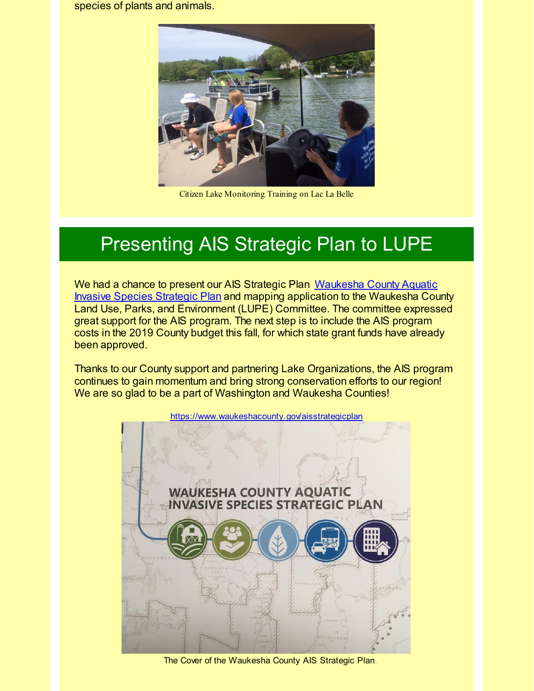species of plants and animals.



Citizen Lake Monitoring Training on Lac La Belle

## Presenting AIS Strategic Plan to LUPE

We had a chance to present our AIS Strategic Plan [Waukesha](http://r20.rs6.net/tn.jsp?f=001L-DIgak8yHYHGfMuKxTGvN8rcpueExD0HQCbS8y_8uc6_YzQf3XPMVMSqprlG0T8Q1WcVpnAX6yqI-x_BrO_CzBpRYmRCIwJL9nLzlp_eLKjxhwEtYjsAUGa3HNKl7r4ICDr-PvnrR1jZkq6fY8A1t8R0JMXnDdOhTtrC4L9L2E_m7M-C2Wwbx4U3HxHjL6NKIMCKio2z5MAI0pLSV0o45ds0vbNeL-21VSaOidv0p_Wq2aZrLZQeg6MY43OCahg90xfBYzHUyDn-I_8nj9Gy-ePhqHGgiSxt1Qt74ghNrdx4OUrHfxuYpuIaVD1c4DhUKSCPwbpp6Ry9V5aW-N5tFK7jjzuuP5k&c=&ch=) County Aquatic Invasive Species Strategic Plan and mapping application to the Waukesha County Land Use, Parks, and Environment (LUPE) Committee. The committee expressed great support for the AIS program. The next step is to include the AIS program costs in the 2019 County budget this fall, for which state grant funds have already been approved.

Thanks to our County support and partnering Lake Organizations, the AIS program continues to gain momentum and bring strong conservation efforts to our region! We are so glad to be a part of Washington and Waukesha Counties!



The Cover of the Waukesha County AIS Strategic Plan.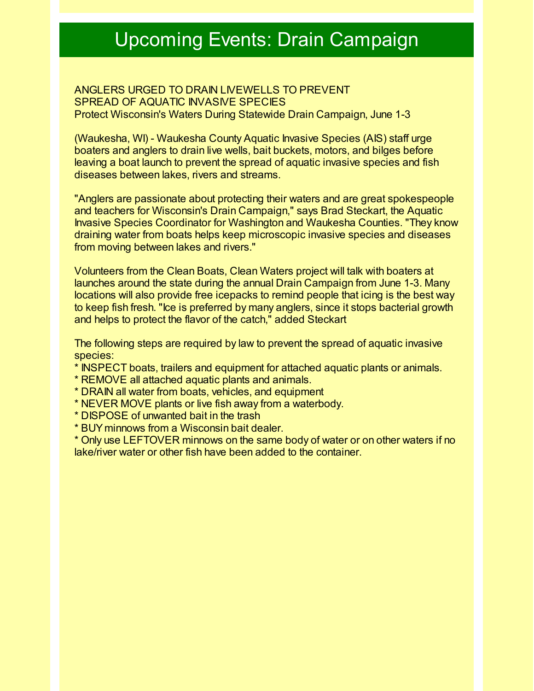## Upcoming Events: Drain Campaign

ANGLERS URGED TO DRAIN LIVEWELLS TO PREVENT SPREAD OF AQUATIC INVASIVE SPECIES Protect Wisconsin's Waters During Statewide Drain Campaign, June 1-3

(Waukesha, WI) - Waukesha County Aquatic Invasive Species (AIS) staff urge boaters and anglers to drain live wells, bait buckets, motors, and bilges before leaving a boat launch to prevent the spread of aquatic invasive species and fish diseases between lakes, rivers and streams.

"Anglers are passionate about protecting their waters and are great spokespeople and teachers for Wisconsin's Drain Campaign," says Brad Steckart, the Aquatic Invasive Species Coordinator for Washington and Waukesha Counties. "They know draining water from boats helps keep microscopic invasive species and diseases from moving between lakes and rivers."

Volunteers from the Clean Boats, Clean Waters project will talk with boaters at launches around the state during the annual Drain Campaign from June 1-3. Many locations will also provide free icepacks to remind people that icing is the best way to keep fish fresh. "Ice is preferred by many anglers, since it stops bacterial growth and helps to protect the flavor of the catch," added Steckart

The following steps are required by law to prevent the spread of aquatic invasive species:

- \* INSPECT boats, trailers and equipment for attached aquatic plants or animals.
- \* REMOVE all attached aquatic plants and animals.
- \* DRAIN all water from boats, vehicles, and equipment
- \* NEVER MOVE plants or live fish away from a waterbody.
- \* DISPOSE of unwanted bait in the trash
- \* BUY minnows from a Wisconsin bait dealer.

\* Only use LEFTOVER minnows on the same body of water or on other waters if no lake/river water or other fish have been added to the container.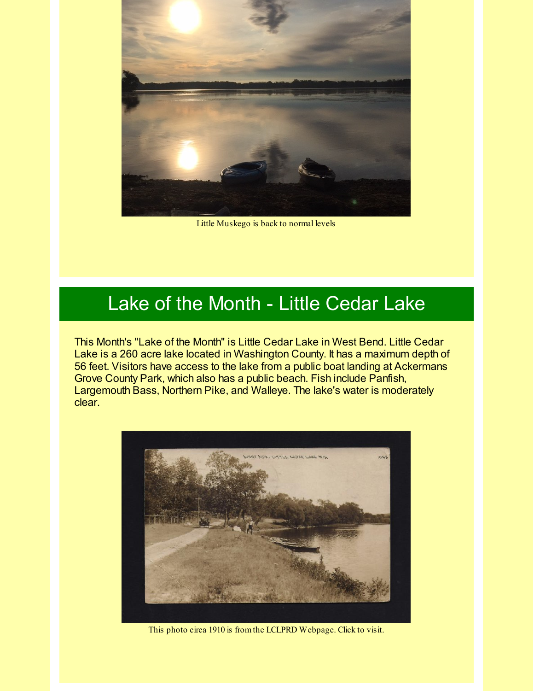

Little Muskego is back to normal levels

### Lake of the Month - Little Cedar Lake

This Month's "Lake of the Month" is Little Cedar Lake in West Bend. Little Cedar Lake is a 260 acre lake located in Washington County. It has a maximum depth of 56 feet. Visitors have access to the lake from a public boat landing at Ackermans Grove County Park, which also has a public beach. Fish include Panfish, Largemouth Bass, Northern Pike, and Walleye. The lake's water is moderately clear.



This photo circa 1910 is fromthe LCLPRD Webpage. Click to visit.